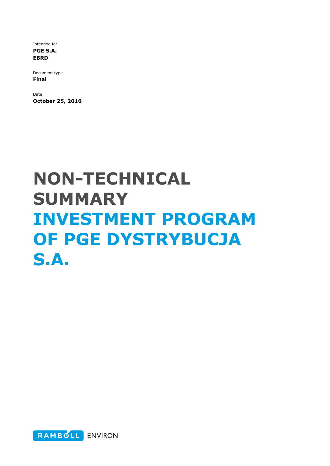Intended for PGE S.A. EBRD

Document type Final

Date October 25, 2016

# NON-TECHNICAL SUMMARY INVESTMENT PROGRAM OF PGE DYSTRYBUCJA S.A.

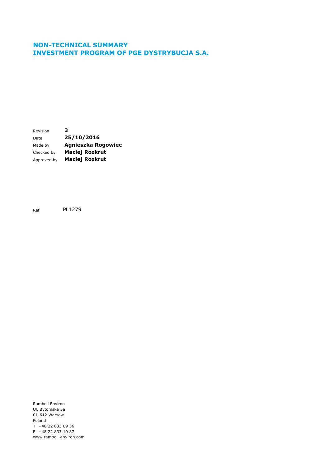#### NON-TECHNICAL SUMMARY INVESTMENT PROGRAM OF PGE DYSTRYBUCJA S.A.

Revision 3 Date **25/10/2016** Made by **Agnieszka Rogowiec** Checked by Maciej Rozkrut Approved by **Maciej Rozkrut** 

Ref PL1279

Ramboll Environ Ul. Bytomska 5a 01-612 Warsaw Poland T +48 22 833 09 36 F +48 22 833 10 87 www.ramboll-environ.com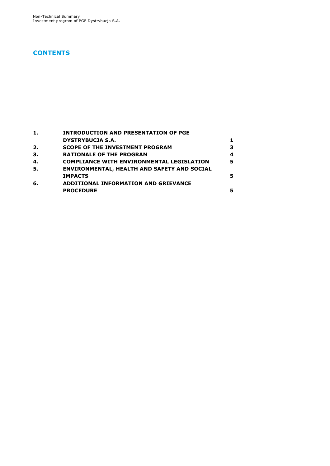### **CONTENTS**

|     | <b>INTRODUCTION AND PRESENTATION OF PGE</b>      |   |
|-----|--------------------------------------------------|---|
|     | <b>DYSTRYBUCJA S.A.</b>                          |   |
| 2.  | <b>SCOPE OF THE INVESTMENT PROGRAM</b>           | з |
| 3.  | <b>RATIONALE OF THE PROGRAM</b>                  | 4 |
| 4.  | <b>COMPLIANCE WITH ENVIRONMENTAL LEGISLATION</b> | 5 |
| -5. | ENVIRONMENTAL, HEALTH AND SAFETY AND SOCIAL      |   |
|     | <b>IMPACTS</b>                                   | 5 |
| 6.  | <b>ADDITIONAL INFORMATION AND GRIEVANCE</b>      |   |
|     | <b>PROCEDURE</b>                                 | 5 |
|     |                                                  |   |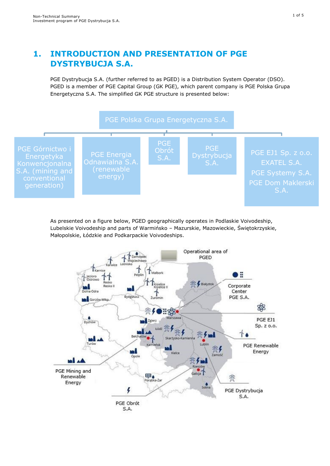## 1. INTRODUCTION AND PRESENTATION OF PGE DYSTRYBUCJA S.A.

PGE Dystrybucja S.A. (further referred to as PGED) is a Distribution System Operator (DSO). PGED is a member of PGE Capital Group (GK PGE), which parent company is PGE Polska Grupa Energetyczna S.A. The simplified GK PGE structure is presented below:



As presented on a figure below, PGED geographically operates in Podlaskie Voivodeship, Lubelskie Voivodeship and parts of Warmińsko – Mazurskie, Mazowieckie, Świętokrzyskie, Małopolskie, Łódzkie and Podkarpackie Voivodeships.

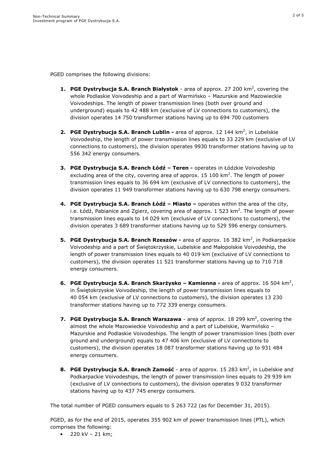PGED comprises the following divisions:

- **1. PGE Dystrybucja S.A. Branch Białystok** area of approx. 27 200 km<sup>2</sup>, covering the whole Podlaskie Voivodeship and a part of Warmińsko – Mazurskie and Mazowieckie Voivodeships. The length of power transmission lines (both over ground and underground) equals to 42 488 km (exclusive of LV connections to customers), the division operates 14 750 transformer stations having up to 694 700 customers
- **2. PGE Dystrybucja S.A. Branch Lublin -** area of approx. 12 144 km<sup>2</sup>, in Lubelskie Voivodeship, the length of power transmission lines equals to 33 229 km (exclusive of LV connections to customers), the division operates 9930 transformer stations having up to 556 342 energy consumers.
- 3. PGE Dystrybucja S.A. Branch Łódź Teren operates in Łódzkie Voivodeship excluding area of the city, covering area of approx. 15 100  $\text{km}^2$ . The length of power transmission lines equals to 36 694 km (exclusive of LV connections to customers), the division operates 11 949 transformer stations having up to 630 798 energy consumers.
- 4. PGE Dystrybucja S.A. Branch Łódź Miasto operates within the area of the city, i.e. Łódź, Pabianice and Zgierz, covering area of approx. 1 523 km<sup>2</sup>. The length of power transmission lines equals to 14 029 km (exclusive of LV connections to customers), the division operates 3 689 transformer stations having up to 529 596 energy consumers.
- **5. PGE Dystrybucja S.A. Branch Rzeszów** area of approx. 16 382 km<sup>2</sup>, in Podkarpackie Voivodeship and a part of Świętokrzyskie, Lubelskie and Małopolskie Voivodeship, the length of power transmission lines equals to 40 019 km (exclusive of LV connections to customers), the division operates 11 521 transformer stations having up to 710 718 energy consumers.
- 6. PGE Dystrybucja S.A. Branch Skarżysko Kamienna area of approx. 16 504 km<sup>2</sup>, in Świętokrzyskie Voivodeship, the length of power transmission lines equals to 40 054 km (exclusive of LV connections to customers), the division operates 13 230 transformer stations having up to 772 339 energy consumers.
- 7. PGE Dystrybucja S.A. Branch Warszawa area of approx. 18 299  $km^2$ , covering the almost the whole Mazowieckie Voivodeship and a part of Lubelskie, Warmińsko – Mazurskie and Podlaskie Voivodeships. The length of power transmission lines (both over ground and underground) equals to 47 406 km (exclusive of LV connections to customers), the division operates 18 087 transformer stations having up to 931 484 energy consumers.
- 8. PGE Dystrybucja S.A. Branch Zamość area of approx. 15 283 km<sup>2</sup>, in Lubelskie and Podkarpackie Voivodeships, the length of power transmission lines equals to 29 939 km (exclusive of LV connections to customers), the division operates 9 032 transformer stations having up to 437 745 energy consumers.

The total number of PGED consumers equals to 5 263 722 (as for December 31, 2015).

PGED, as for the end of 2015, operates 355 902 km of power transmission lines (PTL), which comprises the following:

•  $220 \text{ kV} - 21 \text{ km}$ ;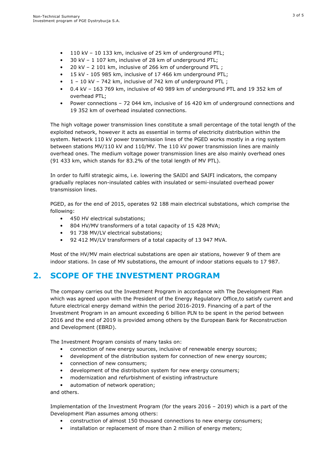- 110 kV 10 133 km, inclusive of 25 km of underground PTL;
- 30 kV 1 107 km, inclusive of 28 km of underground PTL;
- 20 kV 2 101 km, inclusive of 266 km of underground PTL ;
- 15 kV 105 985 km, inclusive of 17 466 km underground PTL;
- 1 10 kV 742 km, inclusive of 742 km of underground PTL ;
- 0.4 kV 163 769 km, inclusive of 40 989 km of underground PTL and 19 352 km of overhead PTL;
- Power connections 72 044 km, inclusive of 16 420 km of underground connections and 19 352 km of overhead insulated connections.

The high voltage power transmission lines constitute a small percentage of the total length of the exploited network, however it acts as essential in terms of electricity distribution within the system. Network 110 kV power transmission lines of the PGED works mostly in a ring system between stations MV/110 kV and 110/MV. The 110 kV power transmission lines are mainly overhead ones. The medium voltage power transmission lines are also mainly overhead ones (91 433 km, which stands for 83.2% of the total length of MV PTL).

In order to fulfil strategic aims, i.e. lowering the SAIDI and SAIFI indicators, the company gradually replaces non-insulated cables with insulated or semi-insulated overhead power transmission lines.

PGED, as for the end of 2015, operates 92 188 main electrical substations, which comprise the following:

- 450 HV electrical substations;
- 804 HV/MV transformers of a total capacity of 15 428 MVA;
- 91 738 MV/LV electrical substations;
- 92 412 MV/LV transformers of a total capacity of 13 947 MVA.

Most of the HV/MV main electrical substations are open air stations, however 9 of them are indoor stations. In case of MV substations, the amount of indoor stations equals to 17 987.

# 2. SCOPE OF THE INVESTMENT PROGRAM

The company carries out the Investment Program in accordance with The Development Plan which was agreed upon with the President of the Energy Regulatory Office,to satisfy current and future electrical energy demand within the period 2016-2019. Financing of a part of the Investment Program in an amount exceeding 6 billion PLN to be spent in the period between 2016 and the end of 2019 is provided among others by the European Bank for Reconstruction and Development (EBRD).

The Investment Program consists of many tasks on:

- connection of new energy sources, inclusive of renewable energy sources;
- development of the distribution system for connection of new energy sources;
- connection of new consumers;
- development of the distribution system for new energy consumers;
- modernization and refurbishment of existing infrastructure
- automation of network operation;

and others.

Implementation of the Investment Program (for the years 2016 – 2019) which is a part of the Development Plan assumes among others:

- construction of almost 150 thousand connections to new energy consumers;
- installation or replacement of more than 2 million of energy meters;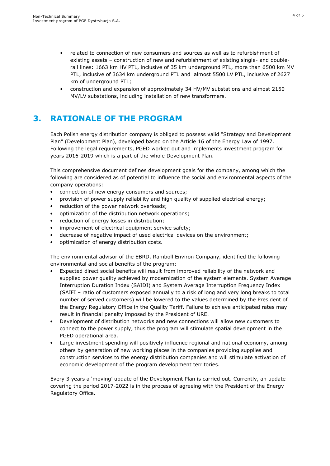- related to connection of new consumers and sources as well as to refurbishment of existing assets – construction of new and refurbishment of existing single- and doublerail lines: 1663 km HV PTL, inclusive of 35 km underground PTL, more than 6500 km MV PTL, inclusive of 3634 km underground PTL and almost 5500 LV PTL, inclusive of 2627 km of underground PTL;
- construction and expansion of approximately 34 HV/MV substations and almost 2150 MV/LV substations, including installation of new transformers.

# 3. RATIONALE OF THE PROGRAM

Each Polish energy distribution company is obliged to possess valid "Strategy and Development Plan" (Development Plan), developed based on the Article 16 of the Energy Law of 1997. Following the legal requirements, PGED worked out and implements investment program for years 2016-2019 which is a part of the whole Development Plan.

This comprehensive document defines development goals for the company, among which the following are considered as of potential to influence the social and environmental aspects of the company operations:

- connection of new energy consumers and sources;
- provision of power supply reliability and high quality of supplied electrical energy;
- reduction of the power network overloads;
- optimization of the distribution network operations;
- reduction of energy losses in distribution;
- improvement of electrical equipment service safety;
- decrease of negative impact of used electrical devices on the environment;
- optimization of energy distribution costs.

The environmental advisor of the EBRD, Ramboll Environ Company, identified the following environmental and social benefits of the program:

- Expected direct social benefits will result from improved reliability of the network and supplied power quality achieved by modernization of the system elements. System Average Interruption Duration Index (SAIDI) and System Average Interruption Frequency Index (SAIFI – ratio of customers exposed annually to a risk of long and very long breaks to total number of served customers) will be lowered to the values determined by the President of the Energy Regulatory Office in the Quality Tariff. Failure to achieve anticipated rates may result in financial penalty imposed by the President of URE.
- Development of distribution networks and new connections will allow new customers to connect to the power supply, thus the program will stimulate spatial development in the PGED operational area.
- Large investment spending will positively influence regional and national economy, among others by generation of new working places in the companies providing supplies and construction services to the energy distribution companies and will stimulate activation of economic development of the program development territories.

Every 3 years a 'moving' update of the Development Plan is carried out. Currently, an update covering the period 2017-2022 is in the process of agreeing with the President of the Energy Regulatory Office.